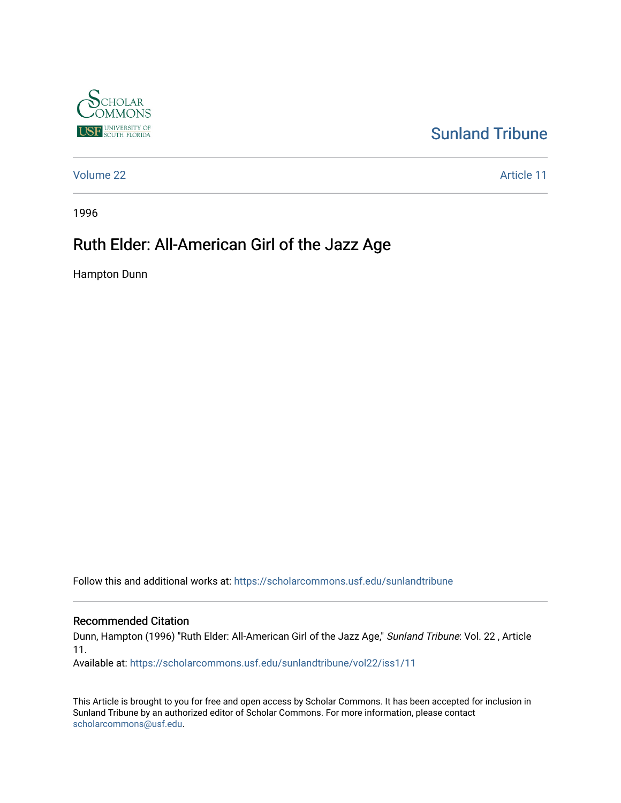

### [Sunland Tribune](https://scholarcommons.usf.edu/sunlandtribune)

[Volume 22](https://scholarcommons.usf.edu/sunlandtribune/vol22) Article 11

1996

## Ruth Elder: All-American Girl of the Jazz Age

Hampton Dunn

Follow this and additional works at: [https://scholarcommons.usf.edu/sunlandtribune](https://scholarcommons.usf.edu/sunlandtribune?utm_source=scholarcommons.usf.edu%2Fsunlandtribune%2Fvol22%2Fiss1%2F11&utm_medium=PDF&utm_campaign=PDFCoverPages) 

#### Recommended Citation

Dunn, Hampton (1996) "Ruth Elder: All-American Girl of the Jazz Age," Sunland Tribune: Vol. 22 , Article 11.

Available at: [https://scholarcommons.usf.edu/sunlandtribune/vol22/iss1/11](https://scholarcommons.usf.edu/sunlandtribune/vol22/iss1/11?utm_source=scholarcommons.usf.edu%2Fsunlandtribune%2Fvol22%2Fiss1%2F11&utm_medium=PDF&utm_campaign=PDFCoverPages)

This Article is brought to you for free and open access by Scholar Commons. It has been accepted for inclusion in Sunland Tribune by an authorized editor of Scholar Commons. For more information, please contact [scholarcommons@usf.edu.](mailto:scholarcommons@usf.edu)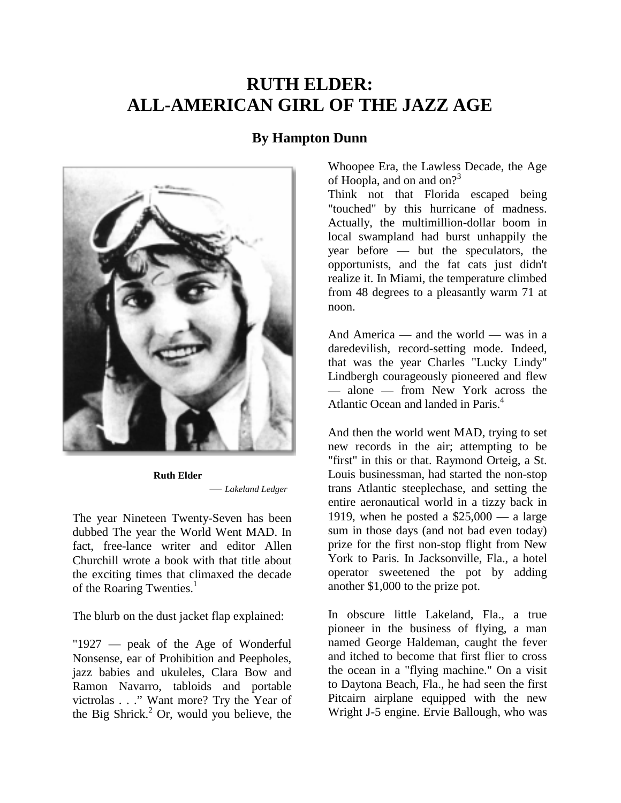# **RUTH ELDER: ALL-AMERICAN GIRL OF THE JAZZ AGE**

### **By Hampton Dunn**



**Ruth Elder**  — *Lakeland Ledger*

The year Nineteen Twenty-Seven has been dubbed The year the World Went MAD. In fact, free-lance writer and editor Allen Churchill wrote a book with that title about the exciting times that climaxed the decade of the Roaring Twenties.<sup>1</sup>

The blurb on the dust jacket flap explained:

"1927 — peak of the Age of Wonderful Nonsense, ear of Prohibition and Peepholes, jazz babies and ukuleles, Clara Bow and Ramon Navarro, tabloids and portable victrolas . . ." Want more? Try the Year of the Big Shrick. $2$  Or, would you believe, the

Whoopee Era, the Lawless Decade, the Age of Hoopla, and on and on?<sup>3</sup>

Think not that Florida escaped being "touched" by this hurricane of madness. Actually, the multimillion-dollar boom in local swampland had burst unhappily the year before — but the speculators, the opportunists, and the fat cats just didn't realize it. In Miami, the temperature climbed from 48 degrees to a pleasantly warm 71 at noon.

And America — and the world — was in a daredevilish, record-setting mode. Indeed, that was the year Charles "Lucky Lindy" Lindbergh courageously pioneered and flew — alone — from New York across the Atlantic Ocean and landed in Paris.<sup>4</sup>

And then the world went MAD, trying to set new records in the air; attempting to be "first" in this or that. Raymond Orteig, a St. Louis businessman, had started the non-stop trans Atlantic steeplechase, and setting the entire aeronautical world in a tizzy back in 1919, when he posted a  $$25,000 - a$  large sum in those days (and not bad even today) prize for the first non-stop flight from New York to Paris. In Jacksonville, Fla., a hotel operator sweetened the pot by adding another \$1,000 to the prize pot.

In obscure little Lakeland, Fla., a true pioneer in the business of flying, a man named George Haldeman, caught the fever and itched to become that first flier to cross the ocean in a "flying machine." On a visit to Daytona Beach, Fla., he had seen the first Pitcairn airplane equipped with the new Wright J-5 engine. Ervie Ballough, who was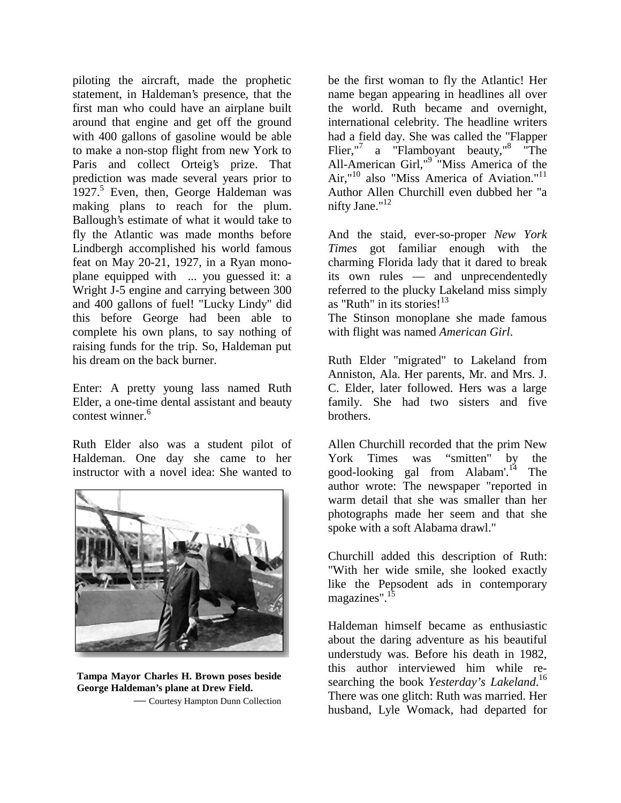piloting the aircraft, made the prophetic statement, in Haldeman's presence, that the first man who could have an airplane built around that engine and get off the ground with 400 gallons of gasoline would be able to make a non-stop flight from new York to Paris and collect Orteig's prize. That prediction was made several years prior to 1927.<sup>5</sup> Even, then, George Haldeman was making plans to reach for the plum. Ballough's estimate of what it would take to fly the Atlantic was made months before Lindbergh accomplished his world famous feat on May 20-21, 1927, in a Ryan monoplane equipped with ... you guessed it: a Wright J-5 engine and carrying between 300 and 400 gallons of fuel! "Lucky Lindy" did this before George had been able to complete his own plans, to say nothing of raising funds for the trip. So, Haldeman put his dream on the back burner.

Enter: A pretty young lass named Ruth Elder, a one-time dental assistant and beauty contest winner  $^6$ 

Ruth Elder also was a student pilot of Haldeman. One day she came to her instructor with a novel idea: She wanted to



**Tampa Mayor Charles H. Brown poses beside George Haldeman's plane at Drew Field.** 

— Courtesy Hampton Dunn Collection

be the first woman to fly the Atlantic! Her name began appearing in headlines all over the world. Ruth became and overnight, international celebrity. The headline writers had a field day. She was called the "Flapper Flier,"<sup>7</sup> a "Flamboyant beauty,"<sup>8</sup> "The All-American Girl,"<sup>9</sup> "Miss America of the Air,"10 also "Miss America of Aviation."11 Author Allen Churchill even dubbed her "a nifty Jane."<sup>12</sup>

And the staid, ever-so-proper *New York Times* got familiar enough with the charming Florida lady that it dared to break its own rules — and unprecendentedly referred to the plucky Lakeland miss simply as "Ruth" in its stories! $13$ The Stinson monoplane she made famous

with flight was named *American Girl*.

Ruth Elder "migrated" to Lakeland from Anniston, Ala. Her parents, Mr. and Mrs. J. C. Elder, later followed. Hers was a large family. She had two sisters and five brothers.

Allen Churchill recorded that the prim New York Times was "smitten" by the good-looking gal from Alabam'.14 The author wrote: The newspaper "reported in warm detail that she was smaller than her photographs made her seem and that she spoke with a soft Alabama drawl."

Churchill added this description of Ruth: "With her wide smile, she looked exactly like the Pepsodent ads in contemporary magazines".<sup>15</sup>

Haldeman himself became as enthusiastic about the daring adventure as his beautiful understudy was. Before his death in 1982, this author interviewed him while researching the book *Yesterday's Lakeland*. 16 There was one glitch: Ruth was married. Her husband, Lyle Womack, had departed for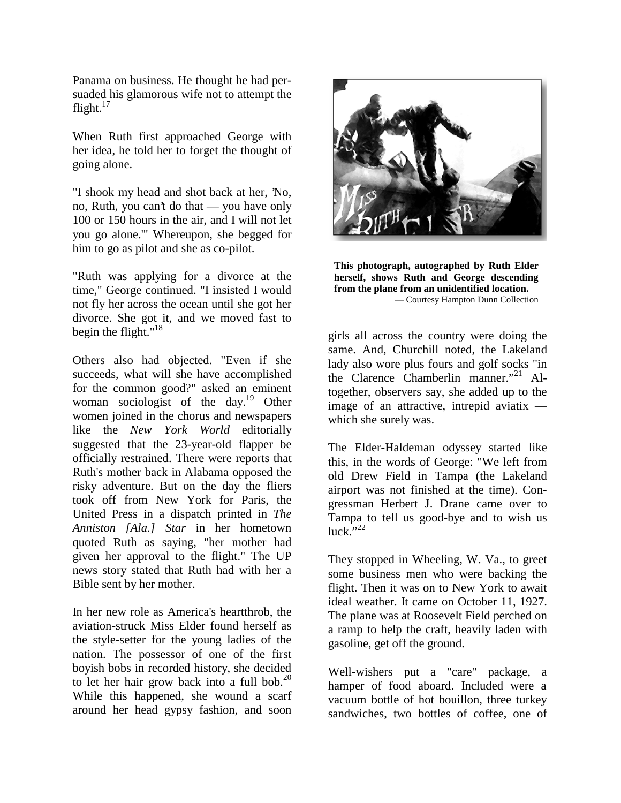Panama on business. He thought he had persuaded his glamorous wife not to attempt the flight. $17$ 

When Ruth first approached George with her idea, he told her to forget the thought of going alone.

"I shook my head and shot back at her, 'No, no, Ruth, you can't do that — you have only 100 or 150 hours in the air, and I will not let you go alone.'" Whereupon, she begged for him to go as pilot and she as co-pilot.

"Ruth was applying for a divorce at the time," George continued. "I insisted I would not fly her across the ocean until she got her divorce. She got it, and we moved fast to begin the flight." $18$ 

Others also had objected. "Even if she succeeds, what will she have accomplished for the common good?" asked an eminent woman sociologist of the day.<sup>19</sup> Other women joined in the chorus and newspapers like the *New York World* editorially suggested that the 23-year-old flapper be officially restrained. There were reports that Ruth's mother back in Alabama opposed the risky adventure. But on the day the fliers took off from New York for Paris, the United Press in a dispatch printed in *The Anniston [Ala.] Star* in her hometown quoted Ruth as saying, "her mother had given her approval to the flight." The UP news story stated that Ruth had with her a Bible sent by her mother.

In her new role as America's heartthrob, the aviation-struck Miss Elder found herself as the style-setter for the young ladies of the nation. The possessor of one of the first boyish bobs in recorded history, she decided to let her hair grow back into a full bob. $^{20}$ While this happened, she wound a scarf around her head gypsy fashion, and soon



**This photograph, autographed by Ruth Elder herself, shows Ruth and George descending from the plane from an unidentified location.**  — Courtesy Hampton Dunn Collection

girls all across the country were doing the same. And, Churchill noted, the Lakeland lady also wore plus fours and golf socks "in the Clarence Chamberlin manner."<sup>21</sup> Altogether, observers say, she added up to the image of an attractive, intrepid aviatix which she surely was.

The Elder-Haldeman odyssey started like this, in the words of George: "We left from old Drew Field in Tampa (the Lakeland airport was not finished at the time). Congressman Herbert J. Drane came over to Tampa to tell us good-bye and to wish us  $luck.$ <sup>5,22</sup>

They stopped in Wheeling, W. Va., to greet some business men who were backing the flight. Then it was on to New York to await ideal weather. It came on October 11, 1927. The plane was at Roosevelt Field perched on a ramp to help the craft, heavily laden with gasoline, get off the ground.

Well-wishers put a "care" package, a hamper of food aboard. Included were a vacuum bottle of hot bouillon, three turkey sandwiches, two bottles of coffee, one of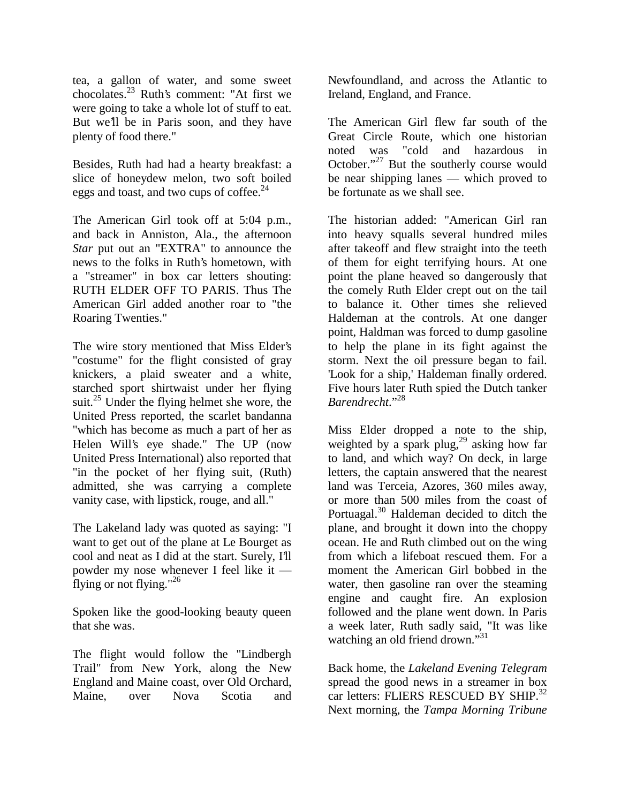tea, a gallon of water, and some sweet chocolates.23 Ruth's comment: "At first we were going to take a whole lot of stuff to eat. But we'll be in Paris soon, and they have plenty of food there."

Besides, Ruth had had a hearty breakfast: a slice of honeydew melon, two soft boiled eggs and toast, and two cups of coffee.<sup>24</sup>

The American Girl took off at 5:04 p.m., and back in Anniston, Ala., the afternoon *Star* put out an "EXTRA" to announce the news to the folks in Ruth's hometown, with a "streamer" in box car letters shouting: RUTH ELDER OFF TO PARIS. Thus The American Girl added another roar to "the Roaring Twenties."

The wire story mentioned that Miss Elder's "costume" for the flight consisted of gray knickers, a plaid sweater and a white, starched sport shirtwaist under her flying suit.<sup>25</sup> Under the flying helmet she wore, the United Press reported, the scarlet bandanna "which has become as much a part of her as Helen Will's eye shade." The UP (now United Press International) also reported that "in the pocket of her flying suit, (Ruth) admitted, she was carrying a complete vanity case, with lipstick, rouge, and all."

The Lakeland lady was quoted as saying: "I want to get out of the plane at Le Bourget as cool and neat as I did at the start. Surely, I'll powder my nose whenever I feel like it flying or not flying."26

Spoken like the good-looking beauty queen that she was.

The flight would follow the "Lindbergh Trail" from New York, along the New England and Maine coast, over Old Orchard, Maine, over Nova Scotia and Newfoundland, and across the Atlantic to Ireland, England, and France.

The American Girl flew far south of the Great Circle Route, which one historian noted was "cold and hazardous in October."<sup>27</sup> But the southerly course would be near shipping lanes — which proved to be fortunate as we shall see.

The historian added: "American Girl ran into heavy squalls several hundred miles after takeoff and flew straight into the teeth of them for eight terrifying hours. At one point the plane heaved so dangerously that the comely Ruth Elder crept out on the tail to balance it. Other times she relieved Haldeman at the controls. At one danger point, Haldman was forced to dump gasoline to help the plane in its fight against the storm. Next the oil pressure began to fail. 'Look for a ship,' Haldeman finally ordered. Five hours later Ruth spied the Dutch tanker *Barendrecht*."28

Miss Elder dropped a note to the ship, weighted by a spark plug, $^{29}$  asking how far to land, and which way? On deck, in large letters, the captain answered that the nearest land was Terceia, Azores, 360 miles away, or more than 500 miles from the coast of Portuagal.30 Haldeman decided to ditch the plane, and brought it down into the choppy ocean. He and Ruth climbed out on the wing from which a lifeboat rescued them. For a moment the American Girl bobbed in the water, then gasoline ran over the steaming engine and caught fire. An explosion followed and the plane went down. In Paris a week later, Ruth sadly said, "It was like watching an old friend drown."<sup>31</sup>

Back home, the *Lakeland Evening Telegram* spread the good news in a streamer in box car letters: FLIERS RESCUED BY SHIP.<sup>32</sup> Next morning, the *Tampa Morning Tribune*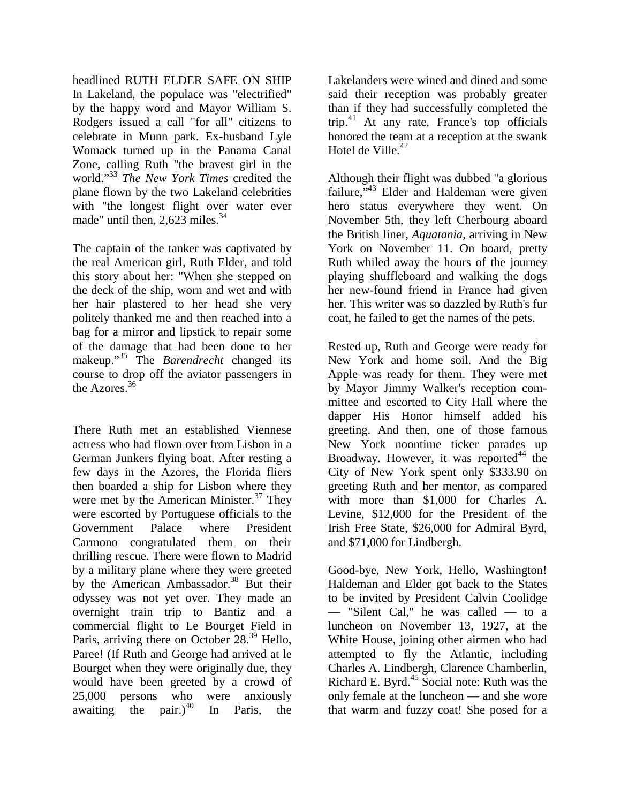headlined RUTH ELDER SAFE ON SHIP In Lakeland, the populace was "electrified" by the happy word and Mayor William S. Rodgers issued a call "for all" citizens to celebrate in Munn park. Ex-husband Lyle Womack turned up in the Panama Canal Zone, calling Ruth "the bravest girl in the world."33 *The New York Times* credited the plane flown by the two Lakeland celebrities with "the longest flight over water ever made" until then,  $2.623$  miles.<sup>34</sup>

The captain of the tanker was captivated by the real American girl, Ruth Elder, and told this story about her: "When she stepped on the deck of the ship, worn and wet and with her hair plastered to her head she very politely thanked me and then reached into a bag for a mirror and lipstick to repair some of the damage that had been done to her makeup."35 The *Barendrecht* changed its course to drop off the aviator passengers in the Azores.36

There Ruth met an established Viennese actress who had flown over from Lisbon in a German Junkers flying boat. After resting a few days in the Azores, the Florida fliers then boarded a ship for Lisbon where they were met by the American Minister. $37$  They were escorted by Portuguese officials to the Government Palace where President Carmono congratulated them on their thrilling rescue. There were flown to Madrid by a military plane where they were greeted by the American Ambassador.<sup>38</sup> But their odyssey was not yet over. They made an overnight train trip to Bantiz and a commercial flight to Le Bourget Field in Paris, arriving there on October 28.<sup>39</sup> Hello, Paree! (If Ruth and George had arrived at le Bourget when they were originally due, they would have been greeted by a crowd of 25,000 persons who were anxiously awaiting the pair.)<sup>40</sup> In Paris, the

Lakelanders were wined and dined and some said their reception was probably greater than if they had successfully completed the trip.41 At any rate, France's top officials honored the team at a reception at the swank Hotel de Ville. $42$ 

Although their flight was dubbed "a glorious failure," $43$  Elder and Haldeman were given hero status everywhere they went. On November 5th, they left Cherbourg aboard the British liner, *Aquatania*, arriving in New York on November 11. On board, pretty Ruth whiled away the hours of the journey playing shuffleboard and walking the dogs her new-found friend in France had given her. This writer was so dazzled by Ruth's fur coat, he failed to get the names of the pets.

Rested up, Ruth and George were ready for New York and home soil. And the Big Apple was ready for them. They were met by Mayor Jimmy Walker's reception committee and escorted to City Hall where the dapper His Honor himself added his greeting. And then, one of those famous New York noontime ticker parades up Broadway. However, it was reported  $44$  the City of New York spent only \$333.90 on greeting Ruth and her mentor, as compared with more than \$1,000 for Charles A. Levine, \$12,000 for the President of the Irish Free State, \$26,000 for Admiral Byrd, and \$71,000 for Lindbergh.

Good-bye, New York, Hello, Washington! Haldeman and Elder got back to the States to be invited by President Calvin Coolidge — "Silent Cal," he was called — to a luncheon on November 13, 1927, at the White House, joining other airmen who had attempted to fly the Atlantic, including Charles A. Lindbergh, Clarence Chamberlin, Richard E. Byrd. $45$  Social note: Ruth was the only female at the luncheon — and she wore that warm and fuzzy coat! She posed for a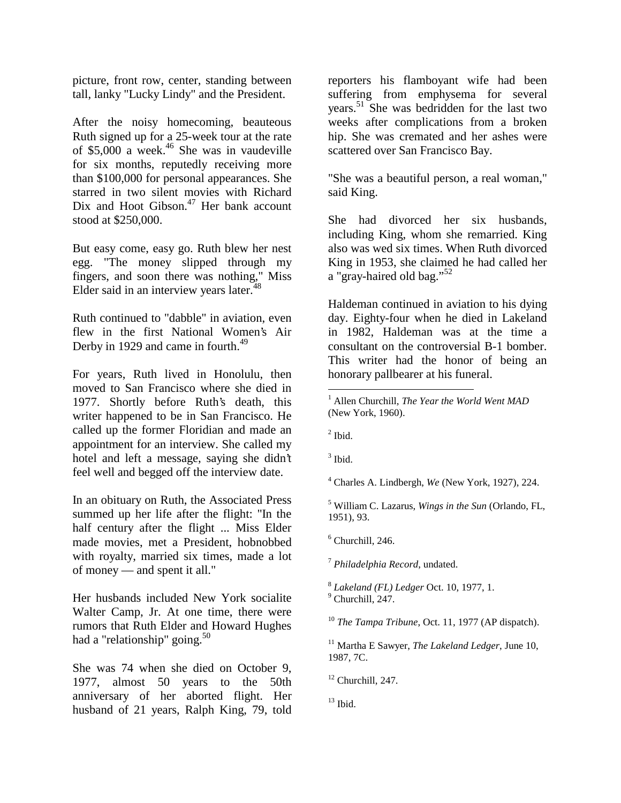picture, front row, center, standing between tall, lanky "Lucky Lindy" and the President.

After the noisy homecoming, beauteous Ruth signed up for a 25-week tour at the rate of \$5,000 a week.<sup>46</sup> She was in vaudeville for six months, reputedly receiving more than \$100,000 for personal appearances. She starred in two silent movies with Richard Dix and Hoot Gibson. $47$  Her bank account stood at \$250,000.

But easy come, easy go. Ruth blew her nest egg. "The money slipped through my fingers, and soon there was nothing," Miss Elder said in an interview years later. $48$ 

Ruth continued to "dabble" in aviation, even flew in the first National Women's Air Derby in 1929 and came in fourth.<sup>49</sup>

For years, Ruth lived in Honolulu, then moved to San Francisco where she died in 1977. Shortly before Ruth's death, this writer happened to be in San Francisco. He called up the former Floridian and made an appointment for an interview. She called my hotel and left a message, saying she didn't feel well and begged off the interview date.

In an obituary on Ruth, the Associated Press summed up her life after the flight: "In the half century after the flight ... Miss Elder made movies, met a President, hobnobbed with royalty, married six times, made a lot of money — and spent it all."

Her husbands included New York socialite Walter Camp, Jr. At one time, there were rumors that Ruth Elder and Howard Hughes had a "relationship" going.<sup>50</sup>

She was 74 when she died on October 9, 1977, almost 50 years to the 50th anniversary of her aborted flight. Her husband of 21 years, Ralph King, 79, told reporters his flamboyant wife had been suffering from emphysema for several years.51 She was bedridden for the last two weeks after complications from a broken hip. She was cremated and her ashes were scattered over San Francisco Bay.

"She was a beautiful person, a real woman," said King.

She had divorced her six husbands, including King, whom she remarried. King also was wed six times. When Ruth divorced King in 1953, she claimed he had called her a "gray-haired old bag."<sup>52</sup>

Haldeman continued in aviation to his dying day. Eighty-four when he died in Lakeland in 1982, Haldeman was at the time a consultant on the controversial B-1 bomber. This writer had the honor of being an honorary pallbearer at his funeral.

 $<sup>2</sup>$  Ibid.</sup>

<u>.</u>

 $3$  Ibid.

4 Charles A. Lindbergh, *We* (New York, 1927), 224.

5 William C. Lazarus, *Wings in the Sun* (Orlando, FL, 1951), 93.

 $<sup>6</sup>$  Churchill, 246.</sup>

<sup>7</sup> *Philadelphia Record*, undated.

<sup>8</sup> Lakeland (FL) Ledger Oct. 10, 1977, 1.  $<sup>9</sup>$  Churchill, 247.</sup>

<sup>10</sup> *The Tampa Tribune*, Oct. 11, 1977 (AP dispatch).

 $13$  Ibid.

<sup>1</sup> Allen Churchill, *The Year the World Went MAD* (New York, 1960).

<sup>11</sup> Martha E Sawyer, *The Lakeland Ledger*, June 10, 1987, 7C.

 $12$  Churchill, 247.